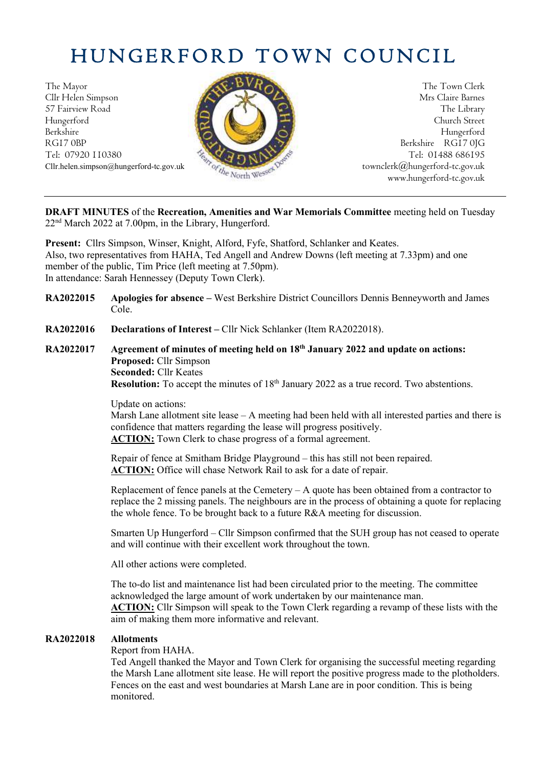# HUNGERFORD TOWN COUNCIL

The Mayor The Town Clerk Cllr Helen Simpson Mrs Claire Barnes 57 Fairview Road The Library (2004) Hungerford Church Street Berkshire Hungerford RG17 0BP Berkshire RG17 0JG Tel: 07920 110380 **Tel: 07920 110380** Tel: 01488 686195



Cllr.helen.simpson@hungerford-tc.gov.uk [townclerk@hungerford-tc.gov.uk](mailto:townclerk@hungerford-tc.gov.uk) townclerk@hungerford-tc.gov.uk www.hungerford-tc.gov.uk www.hungerford-tc.gov.uk

**DRAFT MINUTES** of the **Recreation, Amenities and War Memorials Committee** meeting held on Tuesday 22nd March 2022 at 7.00pm, in the Library, Hungerford.

**Present:** Cllrs Simpson, Winser, Knight, Alford, Fyfe, Shatford, Schlanker and Keates. Also, two representatives from HAHA, Ted Angell and Andrew Downs (left meeting at 7.33pm) and one member of the public, Tim Price (left meeting at 7.50pm). In attendance: Sarah Hennessey (Deputy Town Clerk).

- **RA2022015 Apologies for absence –** West Berkshire District Councillors Dennis Benneyworth and James Cole.
- **RA2022016 Declarations of Interest –** Cllr Nick Schlanker (Item RA2022018).
- **RA2022017 Agreement of minutes of meeting held on 18 th January 2022 and update on actions: Proposed:** Cllr Simpson **Seconded:** Cllr Keates **Resolution:** To accept the minutes of 18<sup>th</sup> January 2022 as a true record. Two abstentions.

Update on actions:

Marsh Lane allotment site lease – A meeting had been held with all interested parties and there is confidence that matters regarding the lease will progress positively. **ACTION:** Town Clerk to chase progress of a formal agreement.

Repair of fence at Smitham Bridge Playground – this has still not been repaired. **ACTION:** Office will chase Network Rail to ask for a date of repair.

Replacement of fence panels at the Cemetery  $- A$  quote has been obtained from a contractor to replace the 2 missing panels. The neighbours are in the process of obtaining a quote for replacing the whole fence. To be brought back to a future R&A meeting for discussion.

Smarten Up Hungerford – Cllr Simpson confirmed that the SUH group has not ceased to operate and will continue with their excellent work throughout the town.

All other actions were completed.

The to-do list and maintenance list had been circulated prior to the meeting. The committee acknowledged the large amount of work undertaken by our maintenance man. **ACTION:** Cllr Simpson will speak to the Town Clerk regarding a revamp of these lists with the aim of making them more informative and relevant.

#### **RA2022018 Allotments**

#### Report from HAHA.

Ted Angell thanked the Mayor and Town Clerk for organising the successful meeting regarding the Marsh Lane allotment site lease. He will report the positive progress made to the plotholders. Fences on the east and west boundaries at Marsh Lane are in poor condition. This is being monitored.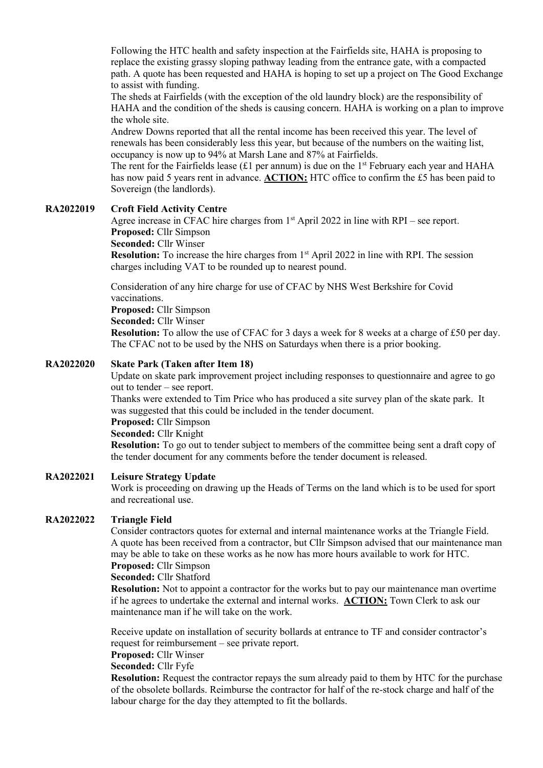Following the HTC health and safety inspection at the Fairfields site, HAHA is proposing to replace the existing grassy sloping pathway leading from the entrance gate, with a compacted path. A quote has been requested and HAHA is hoping to set up a project on The Good Exchange to assist with funding.

The sheds at Fairfields (with the exception of the old laundry block) are the responsibility of HAHA and the condition of the sheds is causing concern. HAHA is working on a plan to improve the whole site.

Andrew Downs reported that all the rental income has been received this year. The level of renewals has been considerably less this year, but because of the numbers on the waiting list, occupancy is now up to 94% at Marsh Lane and 87% at Fairfields.

The rent for the Fairfields lease (£1 per annum) is due on the 1<sup>st</sup> February each year and HAHA has now paid 5 years rent in advance. **ACTION:** HTC office to confirm the £5 has been paid to Sovereign (the landlords).

#### **RA2022019 Croft Field Activity Centre**

Agree increase in CFAC hire charges from  $1<sup>st</sup>$  April 2022 in line with RPI – see report. **Proposed:** Cllr Simpson

**Seconded:** Cllr Winser

**Resolution:** To increase the hire charges from 1<sup>st</sup> April 2022 in line with RPI. The session charges including VAT to be rounded up to nearest pound.

Consideration of any hire charge for use of CFAC by NHS West Berkshire for Covid vaccinations.

**Proposed:** Cllr Simpson

**Seconded:** Cllr Winser

**Resolution:** To allow the use of CFAC for 3 days a week for 8 weeks at a charge of £50 per day. The CFAC not to be used by the NHS on Saturdays when there is a prior booking.

#### **RA2022020 Skate Park (Taken after Item 18)**

Update on skate park improvement project including responses to questionnaire and agree to go out to tender – see report.

Thanks were extended to Tim Price who has produced a site survey plan of the skate park. It was suggested that this could be included in the tender document.

**Proposed:** Cllr Simpson

**Seconded:** Cllr Knight

**Resolution:** To go out to tender subject to members of the committee being sent a draft copy of the tender document for any comments before the tender document is released.

#### **RA2022021 Leisure Strategy Update**

Work is proceeding on drawing up the Heads of Terms on the land which is to be used for sport and recreational use.

#### **RA2022022 Triangle Field**

Consider contractors quotes for external and internal maintenance works at the Triangle Field. A quote has been received from a contractor, but Cllr Simpson advised that our maintenance man may be able to take on these works as he now has more hours available to work for HTC. **Proposed:** Cllr Simpson

#### **Seconded:** Cllr Shatford

**Resolution:** Not to appoint a contractor for the works but to pay our maintenance man overtime if he agrees to undertake the external and internal works. **ACTION:** Town Clerk to ask our maintenance man if he will take on the work.

Receive update on installation of security bollards at entrance to TF and consider contractor's request for reimbursement – see private report.

**Proposed:** Cllr Winser

**Seconded:** Cllr Fyfe

**Resolution:** Request the contractor repays the sum already paid to them by HTC for the purchase of the obsolete bollards. Reimburse the contractor for half of the re-stock charge and half of the labour charge for the day they attempted to fit the bollards.